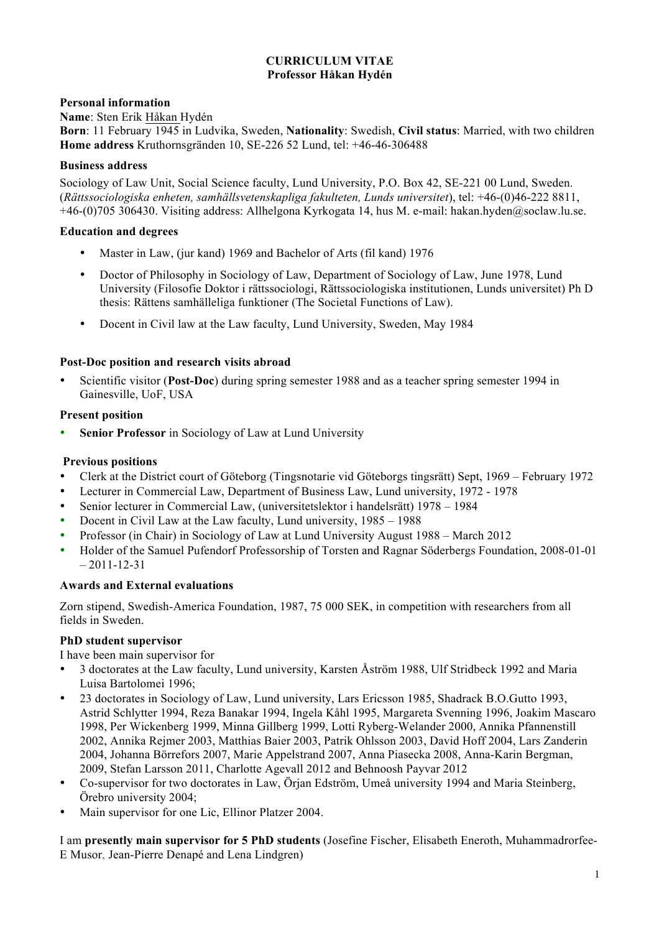# **CURRICULUM VITAE Professor Håkan Hydén**

# **Personal information**

**Name**: Sten Erik Håkan Hydén

**Born**: 11 February 1945 in Ludvika, Sweden, **Nationality**: Swedish, **Civil status**: Married, with two children **Home address** Kruthornsgränden 10, SE-226 52 Lund, tel: +46-46-306488

## **Business address**

Sociology of Law Unit, Social Science faculty, Lund University, P.O. Box 42, SE-221 00 Lund, Sweden. (*Rättssociologiska enheten, samhällsvetenskapliga fakulteten, Lunds universitet*), tel: +46-(0)46-222 8811, +46-(0)705 306430. Visiting address: Allhelgona Kyrkogata 14, hus M. e-mail: hakan.hyden@soclaw.lu.se.

## **Education and degrees**

- Master in Law, (jur kand) 1969 and Bachelor of Arts (fil kand) 1976
- Doctor of Philosophy in Sociology of Law, Department of Sociology of Law, June 1978, Lund University (Filosofie Doktor i rättssociologi, Rättssociologiska institutionen, Lunds universitet) Ph D thesis: Rättens samhälleliga funktioner (The Societal Functions of Law).
- Docent in Civil law at the Law faculty, Lund University, Sweden, May 1984

## **Post-Doc position and research visits abroad**

• Scientific visitor (**Post-Doc**) during spring semester 1988 and as a teacher spring semester 1994 in Gainesville, UoF, USA

## **Present position**

**Senior Professor** in Sociology of Law at Lund University

# **Previous positions**

- Clerk at the District court of Göteborg (Tingsnotarie vid Göteborgs tingsrätt) Sept, 1969 February 1972
- Lecturer in Commercial Law, Department of Business Law, Lund university, 1972 1978
- Senior lecturer in Commercial Law, (universitetslektor i handelsrätt) 1978 1984
- Docent in Civil Law at the Law faculty, Lund university, 1985 1988
- Professor (in Chair) in Sociology of Law at Lund University August 1988 March 2012
- Holder of the Samuel Pufendorf Professorship of Torsten and Ragnar Söderbergs Foundation, 2008-01-01  $-2011-12-31$

# **Awards and External evaluations**

Zorn stipend, Swedish-America Foundation, 1987, 75 000 SEK, in competition with researchers from all fields in Sweden.

#### **PhD student supervisor**

I have been main supervisor for

- 3 doctorates at the Law faculty, Lund university, Karsten Åström 1988, Ulf Stridbeck 1992 and Maria Luisa Bartolomei 1996;
- 23 doctorates in Sociology of Law, Lund university, Lars Ericsson 1985, Shadrack B.O.Gutto 1993, Astrid Schlytter 1994, Reza Banakar 1994, Ingela Kåhl 1995, Margareta Svenning 1996, Joakim Mascaro 1998, Per Wickenberg 1999, Minna Gillberg 1999, Lotti Ryberg-Welander 2000, Annika Pfannenstill 2002, Annika Rejmer 2003, Matthias Baier 2003, Patrik Ohlsson 2003, David Hoff 2004, Lars Zanderin 2004, Johanna Börrefors 2007, Marie Appelstrand 2007, Anna Piasecka 2008, Anna-Karin Bergman, 2009, Stefan Larsson 2011, Charlotte Agevall 2012 and Behnoosh Payvar 2012
- Co-supervisor for two doctorates in Law, Örjan Edström, Umeå university 1994 and Maria Steinberg, Örebro university 2004;
- Main supervisor for one Lic, Ellinor Platzer 2004.

I am **presently main supervisor for 5 PhD students** (Josefine Fischer, Elisabeth Eneroth, Muhammadrorfee-E Musor, Jean-Pierre Denapé and Lena Lindgren)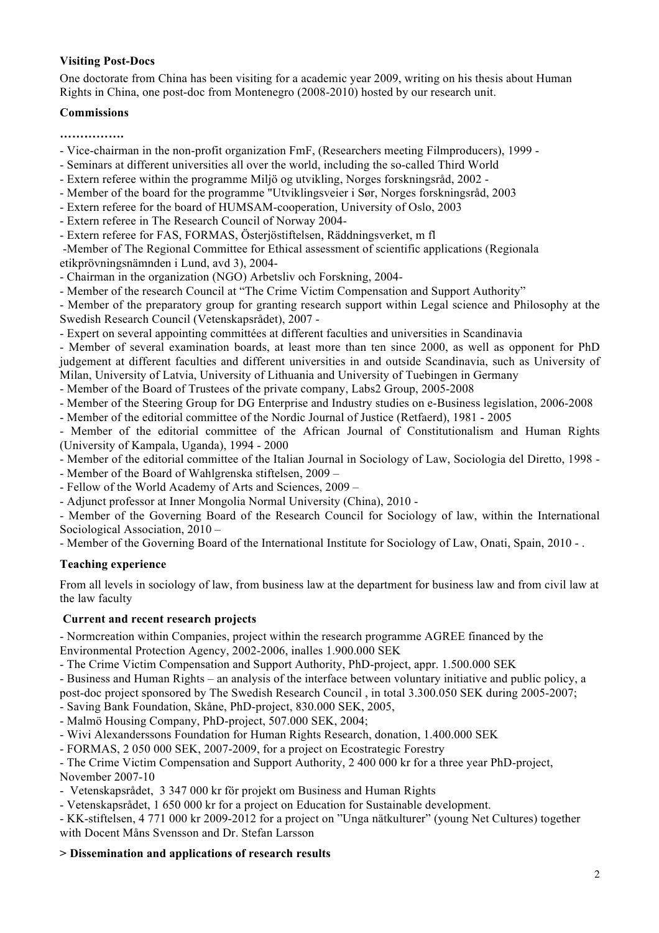# **Visiting Post-Docs**

One doctorate from China has been visiting for a academic year 2009, writing on his thesis about Human Rights in China, one post-doc from Montenegro (2008-2010) hosted by our research unit.

## **Commissions**

**…………….**

- Vice-chairman in the non-profit organization FmF, (Researchers meeting Filmproducers), 1999 -
- Seminars at different universities all over the world, including the so-called Third World
- Extern referee within the programme Miljö og utvikling, Norges forskningsråd, 2002 -
- Member of the board for the programme "Utviklingsveier i Sør, Norges forskningsråd, 2003
- Extern referee for the board of HUMSAM-cooperation, University of Oslo, 2003
- Extern referee in The Research Council of Norway 2004-
- Extern referee for FAS, FORMAS, Österjöstiftelsen, Räddningsverket, m fl

-Member of The Regional Committee for Ethical assessment of scientific applications (Regionala etikprövningsnämnden i Lund, avd 3), 2004-

- Chairman in the organization (NGO) Arbetsliv och Forskning, 2004-
- Member of the research Council at "The Crime Victim Compensation and Support Authority"

- Member of the preparatory group for granting research support within Legal science and Philosophy at the Swedish Research Council (Vetenskapsrådet), 2007 -

- Expert on several appointing committées at different faculties and universities in Scandinavia

- Member of several examination boards, at least more than ten since 2000, as well as opponent for PhD judgement at different faculties and different universities in and outside Scandinavia, such as University of Milan, University of Latvia, University of Lithuania and University of Tuebingen in Germany

- Member of the Board of Trustees of the private company, Labs2 Group, 2005-2008

- Member of the Steering Group for DG Enterprise and Industry studies on e-Business legislation, 2006-2008

- Member of the editorial committee of the Nordic Journal of Justice (Retfaerd), 1981 - 2005

- Member of the editorial committee of the African Journal of Constitutionalism and Human Rights (University of Kampala, Uganda), 1994 - 2000

- Member of the editorial committee of the Italian Journal in Sociology of Law, Sociologia del Diretto, 1998 -

- Member of the Board of Wahlgrenska stiftelsen, 2009 –

- Fellow of the World Academy of Arts and Sciences, 2009 –

- Adjunct professor at Inner Mongolia Normal University (China), 2010 -

- Member of the Governing Board of the Research Council for Sociology of law, within the International Sociological Association, 2010 –

- Member of the Governing Board of the International Institute for Sociology of Law, Onati, Spain, 2010 - .

# **Teaching experience**

From all levels in sociology of law, from business law at the department for business law and from civil law at the law faculty

# **Current and recent research projects**

- Normcreation within Companies, project within the research programme AGREE financed by the Environmental Protection Agency, 2002-2006, inalles 1.900.000 SEK

- The Crime Victim Compensation and Support Authority, PhD-project, appr. 1.500.000 SEK

- Business and Human Rights – an analysis of the interface between voluntary initiative and public policy, a post-doc project sponsored by The Swedish Research Council , in total 3.300.050 SEK during 2005-2007;

- Saving Bank Foundation, Skåne, PhD-project, 830.000 SEK, 2005,

- Malmö Housing Company, PhD-project, 507.000 SEK, 2004;

- Wivi Alexanderssons Foundation for Human Rights Research, donation, 1.400.000 SEK

- FORMAS, 2 050 000 SEK, 2007-2009, for a project on Ecostrategic Forestry

- The Crime Victim Compensation and Support Authority, 2 400 000 kr for a three year PhD-project, November 2007-10

- Vetenskapsrådet, 3 347 000 kr för projekt om Business and Human Rights

- Vetenskapsrådet, 1 650 000 kr for a project on Education for Sustainable development.

- KK-stiftelsen, 4 771 000 kr 2009-2012 for a project on "Unga nätkulturer" (young Net Cultures) together with Docent Måns Svensson and Dr. Stefan Larsson

#### **> Dissemination and applications of research results**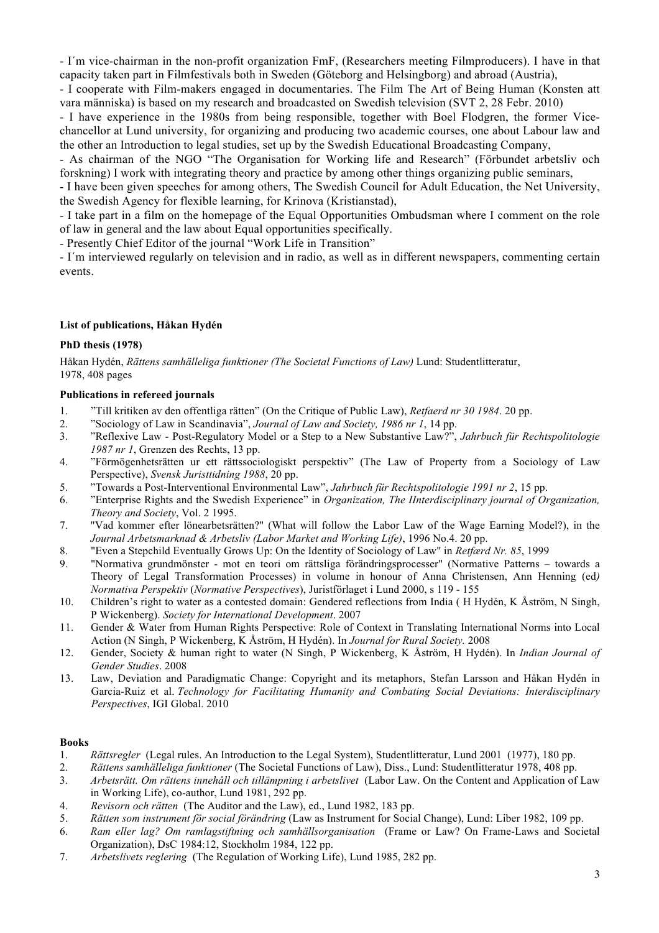- I´m vice-chairman in the non-profit organization FmF, (Researchers meeting Filmproducers). I have in that capacity taken part in Filmfestivals both in Sweden (Göteborg and Helsingborg) and abroad (Austria),

- I cooperate with Film-makers engaged in documentaries. The Film The Art of Being Human (Konsten att vara människa) is based on my research and broadcasted on Swedish television (SVT 2, 28 Febr. 2010)

- I have experience in the 1980s from being responsible, together with Boel Flodgren, the former Vicechancellor at Lund university, for organizing and producing two academic courses, one about Labour law and the other an Introduction to legal studies, set up by the Swedish Educational Broadcasting Company,

- As chairman of the NGO "The Organisation for Working life and Research" (Förbundet arbetsliv och forskning) I work with integrating theory and practice by among other things organizing public seminars,

- I have been given speeches for among others, The Swedish Council for Adult Education, the Net University, the Swedish Agency for flexible learning, for Krinova (Kristianstad),

- I take part in a film on the homepage of the Equal Opportunities Ombudsman where I comment on the role of law in general and the law about Equal opportunities specifically.

- Presently Chief Editor of the journal "Work Life in Transition"

- I´m interviewed regularly on television and in radio, as well as in different newspapers, commenting certain events.

#### **List of publications, Håkan Hydén**

#### **PhD thesis (1978)**

Håkan Hydén, *Rättens samhälleliga funktioner (The Societal Functions of Law)* Lund: Studentlitteratur, 1978, 408 pages

#### **Publications in refereed journals**

- 1. "Till kritiken av den offentliga rätten" (On the Critique of Public Law), *Retfaerd nr 30 1984*. 20 pp.
- 2. "Sociology of Law in Scandinavia", *Journal of Law and Society, 1986 nr 1*, 14 pp.
- 3. "Reflexive Law Post-Regulatory Model or a Step to a New Substantive Law?", *Jahrbuch für Rechtspolitologie 1987 nr 1*, Grenzen des Rechts, 13 pp.
- 4. "Förmögenhetsrätten ur ett rättssociologiskt perspektiv" (The Law of Property from a Sociology of Law Perspective), *Svensk Juristtidning 1988*, 20 pp.
- 5. "Towards a Post-Interventional Environmental Law", *Jahrbuch für Rechtspolitologie 1991 nr 2*, 15 pp.
- 6. "Enterprise Rights and the Swedish Experience" in *Organization, The IInterdisciplinary journal of Organization, Theory and Society*, Vol. 2 1995.
- 7. "Vad kommer efter lönearbetsrätten?" (What will follow the Labor Law of the Wage Earning Model?), in the *Journal Arbetsmarknad & Arbetsliv (Labor Market and Working Life)*, 1996 No.4. 20 pp.
- 8. "Even a Stepchild Eventually Grows Up: On the Identity of Sociology of Law" in *Retfærd Nr. 85*, 1999
- 9. "Normativa grundmönster mot en teori om rättsliga förändringsprocesser" (Normative Patterns towards a Theory of Legal Transformation Processes) in volume in honour of Anna Christensen, Ann Henning (ed*) Normativa Perspektiv* (*Normative Perspectives*), Juristförlaget i Lund 2000, s 119 - 155
- 10. Children's right to water as a contested domain: Gendered reflections from India ( H Hydén, K Åström, N Singh, P Wickenberg). *Society for International Development*. 2007
- 11. Gender & Water from Human Rights Perspective: Role of Context in Translating International Norms into Local Action (N Singh, P Wickenberg, K Åström, H Hydén). In *Journal for Rural Society.* 2008
- 12. Gender, Society & human right to water (N Singh, P Wickenberg, K Åström, H Hydén). In *Indian Journal of Gender Studies*. 2008
- 13. Law, Deviation and Paradigmatic Change: Copyright and its metaphors, Stefan Larsson and Håkan Hydén in Garcia-Ruiz et al. *Technology for Facilitating Humanity and Combating Social Deviations: Interdisciplinary Perspectives*, IGI Global. 2010

#### **Books**

- 1. *Rättsregler* (Legal rules. An Introduction to the Legal System), Studentlitteratur, Lund 2001 (1977), 180 pp.
- 2. *Rättens samhälleliga funktioner* (The Societal Functions of Law), Diss., Lund: Studentlitteratur 1978, 408 pp.
- 3. *Arbetsrätt. Om rättens innehåll och tillämpning i arbetslivet* (Labor Law. On the Content and Application of Law in Working Life), co-author, Lund 1981, 292 pp.
- 4. *Revisorn och rätten* (The Auditor and the Law), ed., Lund 1982, 183 pp.
- 5. *Rätten som instrument för social förändring* (Law as Instrument for Social Change), Lund: Liber 1982, 109 pp.
- 6. *Ram eller lag? Om ramlagstiftning och samhällsorganisation* (Frame or Law? On Frame-Laws and Societal Organization), DsC 1984:12, Stockholm 1984, 122 pp.
- 7. *Arbetslivets reglering* (The Regulation of Working Life), Lund 1985, 282 pp.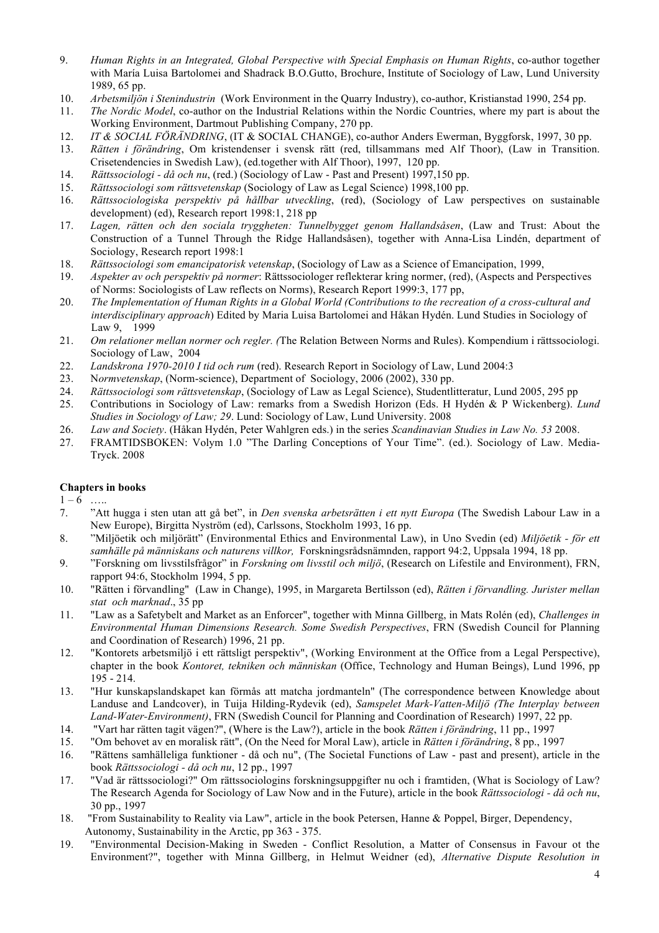- 9. *Human Rights in an Integrated, Global Perspective with Special Emphasis on Human Rights*, co-author together with María Luisa Bartolomei and Shadrack B.O.Gutto, Brochure, Institute of Sociology of Law, Lund University 1989, 65 pp.
- 10. *Arbetsmiljön i Stenindustrin* (Work Environment in the Quarry Industry), co-author, Kristianstad 1990, 254 pp.
- 11. *The Nordic Model*, co-author on the Industrial Relations within the Nordic Countries, where my part is about the Working Environment, Dartmout Publishing Company, 270 pp.
- 12. *IT & SOCIAL FÖRÄNDRING*, (IT & SOCIAL CHANGE), co-author Anders Ewerman, Byggforsk, 1997, 30 pp.
- 13. *Rätten i förändring*, Om kristendenser i svensk rätt (red, tillsammans med Alf Thoor), (Law in Transition. Crisetendencies in Swedish Law), (ed.together with Alf Thoor), 1997, 120 pp.
- 14. *Rättssociologi - då och nu*, (red.) (Sociology of Law Past and Present) 1997,150 pp.
- 15. *Rättssociologi som rättsvetenskap* (Sociology of Law as Legal Science) 1998,100 pp.
- 16. *Rättssociologiska perspektiv på hållbar utveckling*, (red), (Sociology of Law perspectives on sustainable development) (ed), Research report 1998:1, 218 pp
- 17. *Lagen, rätten och den sociala tryggheten: Tunnelbygget genom Hallandsåsen*, (Law and Trust: About the Construction of a Tunnel Through the Ridge Hallandsåsen), together with Anna-Lisa Lindén, department of Sociology, Research report 1998:1
- 18. *Rättssociologi som emancipatorisk vetenskap*, (Sociology of Law as a Science of Emancipation, 1999,
- 19. *Aspekter av och perspektiv på normer*: Rättssociologer reflekterar kring normer, (red), (Aspects and Perspectives of Norms: Sociologists of Law reflects on Norms), Research Report 1999:3, 177 pp,
- 20. *The Implementation of Human Rights in a Global World (Contributions to the recreation of a cross-cultural and interdisciplinary approach*) Edited by Maria Luisa Bartolomei and Håkan Hydén. Lund Studies in Sociology of Law 9, 1999
- 21. *Om relationer mellan normer och regler. (*The Relation Between Norms and Rules). Kompendium i rättssociologi. Sociology of Law, 2004
- 22. *Landskrona 1970-2010 I tid och rum* (red). Research Report in Sociology of Law, Lund 2004:3
- 23. N*ormvetenskap*, (Norm-science), Department of Sociology, 2006 (2002), 330 pp.
- 24. *Rättssociologi som rättsvetenskap*, (Sociology of Law as Legal Science), Studentlitteratur, Lund 2005, 295 pp
- 25. Contributions in Sociology of Law: remarks from a Swedish Horizon (Eds. H Hydén & P Wickenberg). *Lund Studies in Sociology of Law; 29*. Lund: Sociology of Law, Lund University. 2008
- 26. *Law and Society*. (Håkan Hydén, Peter Wahlgren eds.) in the series *Scandinavian Studies in Law No. 53* 2008.
- 27. FRAMTIDSBOKEN: Volym 1.0 "The Darling Conceptions of Your Time". (ed.). Sociology of Law. Media-Tryck. 2008

#### **Chapters in books**

 $1 - 6$  …

- 7. "Att hugga i sten utan att gå bet", in *Den svenska arbetsrätten i ett nytt Europa* (The Swedish Labour Law in a New Europe), Birgitta Nyström (ed), Carlssons, Stockholm 1993, 16 pp.
- 8. "Miljöetik och miljörätt" (Environmental Ethics and Environmental Law), in Uno Svedin (ed) *Miljöetik - för ett samhälle på människans och naturens villkor,* Forskningsrådsnämnden, rapport 94:2, Uppsala 1994, 18 pp.
- 9. "Forskning om livsstilsfrågor" in *Forskning om livsstil och miljö*, (Research on Lifestile and Environment), FRN, rapport 94:6, Stockholm 1994, 5 pp.
- 10. "Rätten i förvandling" (Law in Change), 1995, in Margareta Bertilsson (ed), *Rätten i förvandling. Jurister mellan stat och marknad*., 35 pp
- 11. "Law as a Safetybelt and Market as an Enforcer", together with Minna Gillberg, in Mats Rolén (ed), *Challenges in Environmental Human Dimensions Research. Some Swedish Perspectives*, FRN (Swedish Council for Planning and Coordination of Research) 1996, 21 pp.
- 12. "Kontorets arbetsmiljö i ett rättsligt perspektiv", (Working Environment at the Office from a Legal Perspective), chapter in the book *Kontoret, tekniken och människan* (Office, Technology and Human Beings), Lund 1996, pp 195 - 214.
- 13. "Hur kunskapslandskapet kan förmås att matcha jordmanteln" (The correspondence between Knowledge about Landuse and Landcover), in Tuija Hilding-Rydevik (ed), *Samspelet Mark-Vatten-Miljö (The Interplay between Land-Water-Environment)*, FRN (Swedish Council for Planning and Coordination of Research) 1997, 22 pp.
- 14. "Vart har rätten tagit vägen?", (Where is the Law?), article in the book *Rätten i förändring*, 11 pp., 1997
- 15. "Om behovet av en moralisk rätt", (On the Need for Moral Law), article in *Rätten i förändring*, 8 pp., 1997
- 16. "Rättens samhälleliga funktioner då och nu", (The Societal Functions of Law past and present), article in the book *Rättssociologi - då och nu*, 12 pp., 1997
- 17. "Vad är rättssociologi?" Om rättssociologins forskningsuppgifter nu och i framtiden, (What is Sociology of Law? The Research Agenda for Sociology of Law Now and in the Future), article in the book *Rättssociologi - då och nu*, 30 pp., 1997
- 18. "From Sustainability to Reality via Law", article in the book Petersen, Hanne & Poppel, Birger, Dependency, Autonomy, Sustainability in the Arctic, pp 363 - 375.
- 19. "Environmental Decision-Making in Sweden Conflict Resolution, a Matter of Consensus in Favour ot the Environment?", together with Minna Gillberg, in Helmut Weidner (ed), *Alternative Dispute Resolution in*